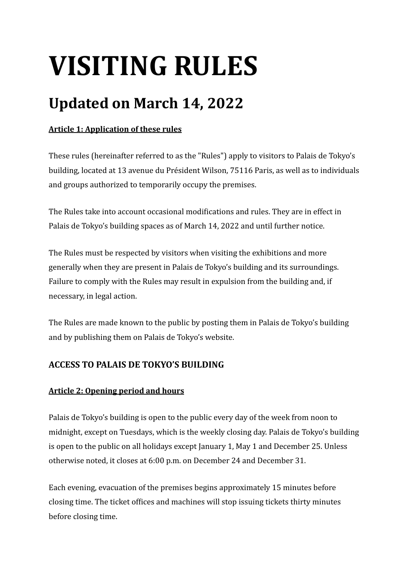# **VISITING RULES**

# **Updated on March 14, 2022**

# **Article 1: Application of these rules**

These rules (hereinafter referred to as the "Rules") apply to visitors to Palais de Tokyo's building, located at 13 avenue du Président Wilson, 75116 Paris, as well as to individuals and groups authorized to temporarily occupy the premises.

The Rules take into account occasional modifications and rules. They are in effect in Palais de Tokyo's building spaces as of March 14, 2022 and until further notice.

The Rules must be respected by visitors when visiting the exhibitions and more generally when they are present in Palais de Tokyo's building and its surroundings. Failure to comply with the Rules may result in expulsion from the building and, if necessary, in legal action.

The Rules are made known to the public by posting them in Palais de Tokyo's building and by publishing them on Palais de Tokyo's website.

# **ACCESS TO PALAIS DE TOKYO'S BUILDING**

# Article 2: Opening period and hours

Palais de Tokyo's building is open to the public every day of the week from noon to midnight, except on Tuesdays, which is the weekly closing day. Palais de Tokyo's building is open to the public on all holidays except January 1, May 1 and December 25. Unless otherwise noted, it closes at 6:00 p.m. on December 24 and December 31.

Each evening, evacuation of the premises begins approximately 15 minutes before closing time. The ticket offices and machines will stop issuing tickets thirty minutes before closing time.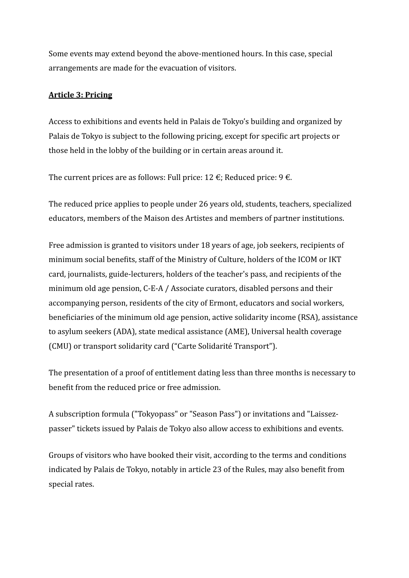Some events may extend beyond the above-mentioned hours. In this case, special arrangements are made for the evacuation of visitors.

#### **Article 3: Pricing**

Access to exhibitions and events held in Palais de Tokyo's building and organized by Palais de Tokyo is subject to the following pricing, except for specific art projects or those held in the lobby of the building or in certain areas around it.

The current prices are as follows: Full price:  $12 \notin$ ; Reduced price:  $9 \notin$ .

The reduced price applies to people under 26 years old, students, teachers, specialized educators, members of the Maison des Artistes and members of partner institutions.

Free admission is granted to visitors under 18 years of age, job seekers, recipients of minimum social benefits, staff of the Ministry of Culture, holders of the ICOM or IKT card, journalists, guide-lecturers, holders of the teacher's pass, and recipients of the minimum old age pension, C-E-A / Associate curators, disabled persons and their accompanying person, residents of the city of Ermont, educators and social workers, beneficiaries of the minimum old age pension, active solidarity income (RSA), assistance to asylum seekers (ADA), state medical assistance (AME), Universal health coverage (CMU) or transport solidarity card ("Carte Solidarité Transport").

The presentation of a proof of entitlement dating less than three months is necessary to benefit from the reduced price or free admission.

A subscription formula ("Tokyopass" or "Season Pass") or invitations and "Laissezpasser" tickets issued by Palais de Tokyo also allow access to exhibitions and events.

Groups of visitors who have booked their visit, according to the terms and conditions indicated by Palais de Tokyo, notably in article 23 of the Rules, may also benefit from special rates.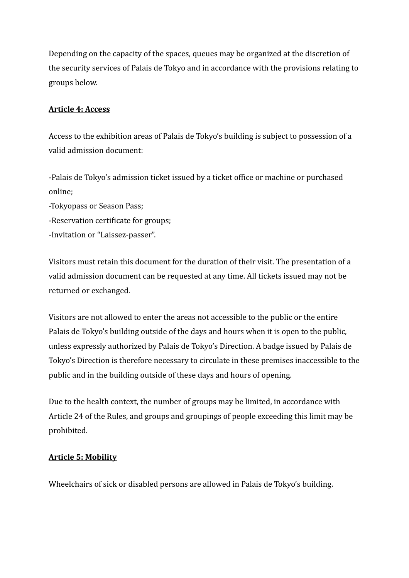Depending on the capacity of the spaces, queues may be organized at the discretion of the security services of Palais de Tokyo and in accordance with the provisions relating to groups below.

#### **Article 4: Access**

Access to the exhibition areas of Palais de Tokyo's building is subject to possession of a valid admission document:

-Palais de Tokyo's admission ticket issued by a ticket office or machine or purchased online;

-Tokyopass or Season Pass;

- -Reservation certificate for groups;
- -Invitation or "Laissez-passer".

Visitors must retain this document for the duration of their visit. The presentation of a valid admission document can be requested at any time. All tickets issued may not be returned or exchanged.

Visitors are not allowed to enter the areas not accessible to the public or the entire Palais de Tokyo's building outside of the days and hours when it is open to the public, unless expressly authorized by Palais de Tokyo's Direction. A badge issued by Palais de Tokyo's Direction is therefore necessary to circulate in these premises inaccessible to the public and in the building outside of these days and hours of opening.

Due to the health context, the number of groups may be limited, in accordance with Article 24 of the Rules, and groups and groupings of people exceeding this limit may be prohibited.

#### **Article 5: Mobility**

Wheelchairs of sick or disabled persons are allowed in Palais de Tokyo's building.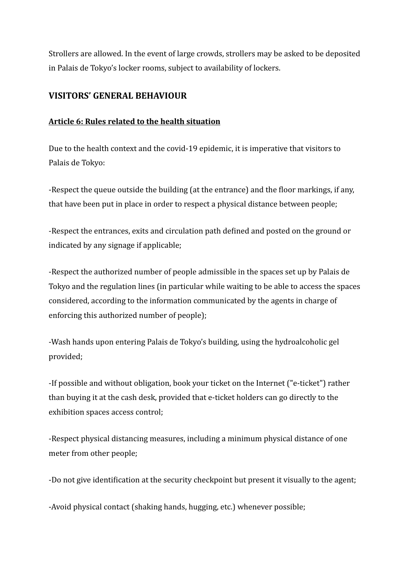Strollers are allowed. In the event of large crowds, strollers may be asked to be deposited in Palais de Tokyo's locker rooms, subject to availability of lockers.

#### **VISITORS' GENERAL BEHAVIOUR**

#### **Article 6: Rules related to the health situation**

Due to the health context and the covid-19 epidemic, it is imperative that visitors to Palais de Tokyo:

-Respect the queue outside the building (at the entrance) and the floor markings, if any, that have been put in place in order to respect a physical distance between people;

-Respect the entrances, exits and circulation path defined and posted on the ground or indicated by any signage if applicable;

-Respect the authorized number of people admissible in the spaces set up by Palais de Tokyo and the regulation lines (in particular while waiting to be able to access the spaces considered, according to the information communicated by the agents in charge of enforcing this authorized number of people);

-Wash hands upon entering Palais de Tokyo's building, using the hydroalcoholic gel provided;

-If possible and without obligation, book your ticket on the Internet ("e-ticket") rather than buying it at the cash desk, provided that e-ticket holders can go directly to the exhibition spaces access control;

-Respect physical distancing measures, including a minimum physical distance of one meter from other people;

-Do not give identification at the security checkpoint but present it visually to the agent;

-Avoid physical contact (shaking hands, hugging, etc.) whenever possible;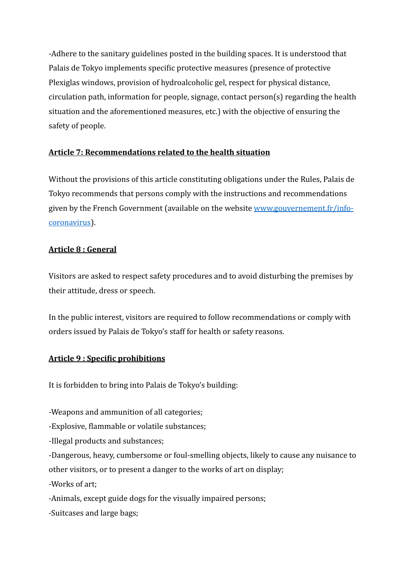-Adhere to the sanitary guidelines posted in the building spaces. It is understood that Palais de Tokyo implements specific protective measures (presence of protective Plexiglas windows, provision of hydroalcoholic gel, respect for physical distance,  $circulation$  path, information for people, signage, contact  $person(s)$  regarding the health situation and the aforementioned measures, etc.) with the objective of ensuring the safety of people.

#### Article 7: Recommendations related to the health situation

Without the provisions of this article constituting obligations under the Rules, Palais de Tokyo recommends that persons comply with the instructions and recommendations given by the French Government (available on the website www.gouvernement.fr/info[coronavirus](http://www.gouvernement.fr/info-coronavirus)).

#### **Article 8 : General**

Visitors are asked to respect safety procedures and to avoid disturbing the premises by their attitude, dress or speech.

In the public interest, visitors are required to follow recommendations or comply with orders issued by Palais de Tokyo's staff for health or safety reasons.

# **Article 9: Specific prohibitions**

It is forbidden to bring into Palais de Tokyo's building:

-Weapons and ammunition of all categories;

-Explosive, flammable or volatile substances;

-Illegal products and substances;

-Dangerous, heavy, cumbersome or foul-smelling objects, likely to cause any nuisance to other visitors, or to present a danger to the works of art on display;

-Works of art;

-Animals, except guide dogs for the visually impaired persons;

-Suitcases and large bags;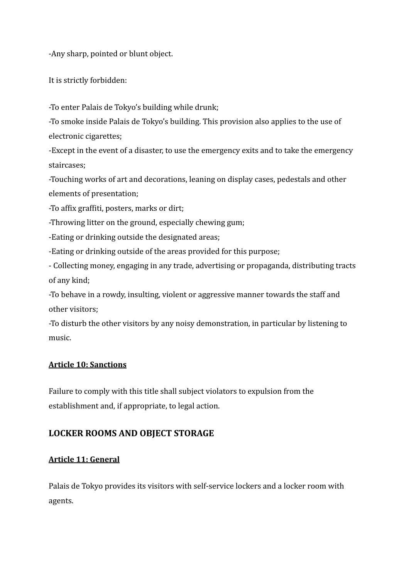-Any sharp, pointed or blunt object.

It is strictly forbidden:

-To enter Palais de Tokyo's building while drunk;

-To smoke inside Palais de Tokyo's building. This provision also applies to the use of electronic cigarettes;

-Except in the event of a disaster, to use the emergency exits and to take the emergency staircases;

-Touching works of art and decorations, leaning on display cases, pedestals and other elements of presentation;

-To affix graffiti, posters, marks or dirt;

-Throwing litter on the ground, especially chewing gum;

-Eating or drinking outside the designated areas;

-Eating or drinking outside of the areas provided for this purpose;

- Collecting money, engaging in any trade, advertising or propaganda, distributing tracts of any kind;

-To behave in a rowdy, insulting, violent or aggressive manner towards the staff and other visitors;

-To disturb the other visitors by any noisy demonstration, in particular by listening to music.

#### **Article 10: Sanctions**

Failure to comply with this title shall subject violators to expulsion from the establishment and, if appropriate, to legal action.

# LOCKER ROOMS AND OBJECT STORAGE

# **Article 11: General**

Palais de Tokyo provides its visitors with self-service lockers and a locker room with agents.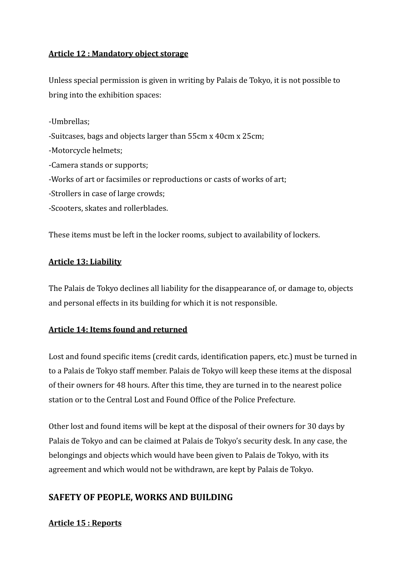#### **Article 12 : Mandatory object storage**

Unless special permission is given in writing by Palais de Tokyo, it is not possible to bring into the exhibition spaces:

-Umbrellas; -Suitcases, bags and objects larger than 55cm x 40cm x 25cm; -Motorcycle helmets; -Camera stands or supports; -Works of art or facsimiles or reproductions or casts of works of art; -Strollers in case of large crowds; -Scooters, skates and rollerblades.

These items must be left in the locker rooms, subject to availability of lockers.

#### **Article 13: Liability**

The Palais de Tokyo declines all liability for the disappearance of, or damage to, objects and personal effects in its building for which it is not responsible.

# **Article 14: Items found and returned**

Lost and found specific items (credit cards, identification papers, etc.) must be turned in to a Palais de Tokyo staff member. Palais de Tokyo will keep these items at the disposal of their owners for 48 hours. After this time, they are turned in to the nearest police station or to the Central Lost and Found Office of the Police Prefecture.

Other lost and found items will be kept at the disposal of their owners for 30 days by Palais de Tokyo and can be claimed at Palais de Tokyo's security desk. In any case, the belongings and objects which would have been given to Palais de Tokyo, with its agreement and which would not be withdrawn, are kept by Palais de Tokyo.

# **SAFETY OF PEOPLE, WORKS AND BUILDING**

#### **Article 15 : Reports**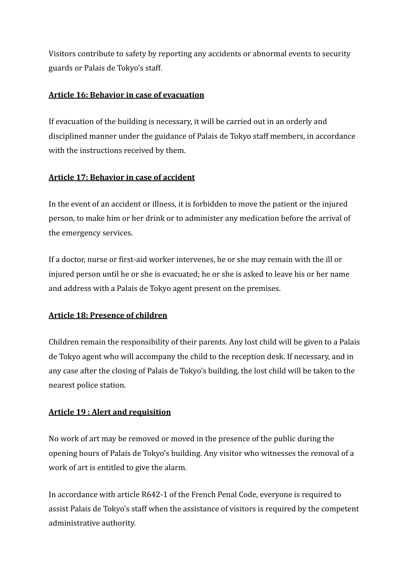Visitors contribute to safety by reporting any accidents or abnormal events to security guards or Palais de Tokyo's staff.

#### Article 16: Behavior in case of evacuation

If evacuation of the building is necessary, it will be carried out in an orderly and disciplined manner under the guidance of Palais de Tokyo staff members, in accordance with the instructions received by them.

#### **Article 17: Behavior in case of accident**

In the event of an accident or illness, it is forbidden to move the patient or the injured person, to make him or her drink or to administer any medication before the arrival of the emergency services.

If a doctor, nurse or first-aid worker intervenes, he or she may remain with the ill or injured person until he or she is evacuated; he or she is asked to leave his or her name and address with a Palais de Tokyo agent present on the premises.

# **Article 18: Presence of children**

Children remain the responsibility of their parents. Any lost child will be given to a Palais de Tokyo agent who will accompany the child to the reception desk. If necessary, and in any case after the closing of Palais de Tokyo's building, the lost child will be taken to the nearest police station.

# **Article 19: Alert and requisition**

No work of art may be removed or moved in the presence of the public during the opening hours of Palais de Tokyo's building. Any visitor who witnesses the removal of a work of art is entitled to give the alarm.

In accordance with article R642-1 of the French Penal Code, everyone is required to assist Palais de Tokyo's staff when the assistance of visitors is required by the competent administrative authority.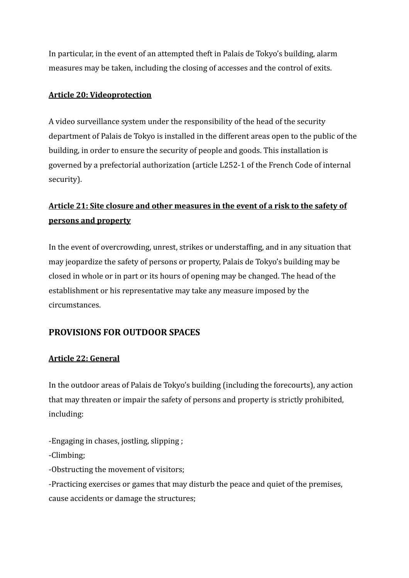In particular, in the event of an attempted theft in Palais de Tokyo's building, alarm measures may be taken, including the closing of accesses and the control of exits.

#### **Article 20: Videoprotection**

A video surveillance system under the responsibility of the head of the security department of Palais de Tokyo is installed in the different areas open to the public of the building, in order to ensure the security of people and goods. This installation is governed by a prefectorial authorization (article L252-1 of the French Code of internal security).

# Article 21: Site closure and other measures in the event of a risk to the safety of **persons and property**

In the event of overcrowding, unrest, strikes or understaffing, and in any situation that may jeopardize the safety of persons or property, Palais de Tokyo's building may be closed in whole or in part or its hours of opening may be changed. The head of the establishment or his representative may take any measure imposed by the circumstances.

# **PROVISIONS FOR OUTDOOR SPACES**

#### **Article 22: General**

In the outdoor areas of Palais de Tokyo's building (including the forecourts), any action that may threaten or impair the safety of persons and property is strictly prohibited, including:

- -Engaging in chases, jostling, slipping ;
- -Climbing;
- -Obstructing the movement of visitors;
- -Practicing exercises or games that may disturb the peace and quiet of the premises, cause accidents or damage the structures;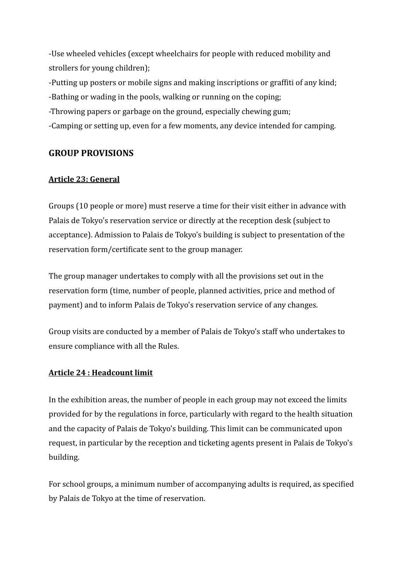-Use wheeled vehicles (except wheelchairs for people with reduced mobility and strollers for young children);

-Putting up posters or mobile signs and making inscriptions or graffiti of any kind;

-Bathing or wading in the pools, walking or running on the coping;

-Throwing papers or garbage on the ground, especially chewing gum;

-Camping or setting up, even for a few moments, any device intended for camping.

# **GROUP PROVISIONS**

#### **Article 23: General**

Groups (10 people or more) must reserve a time for their visit either in advance with Palais de Tokyo's reservation service or directly at the reception desk (subject to acceptance). Admission to Palais de Tokyo's building is subject to presentation of the reservation form/certificate sent to the group manager.

The group manager undertakes to comply with all the provisions set out in the reservation form (time, number of people, planned activities, price and method of payment) and to inform Palais de Tokyo's reservation service of any changes.

Group visits are conducted by a member of Palais de Tokyo's staff who undertakes to ensure compliance with all the Rules.

#### **Article 24 : Headcount limit**

In the exhibition areas, the number of people in each group may not exceed the limits provided for by the regulations in force, particularly with regard to the health situation and the capacity of Palais de Tokyo's building. This limit can be communicated upon request, in particular by the reception and ticketing agents present in Palais de Tokyo's building. 

For school groups, a minimum number of accompanying adults is required, as specified by Palais de Tokyo at the time of reservation.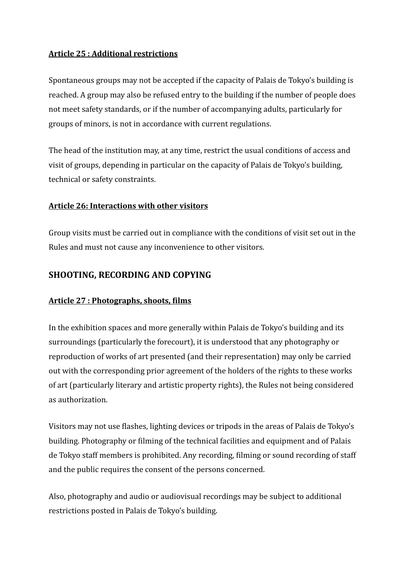#### **Article 25 : Additional restrictions**

Spontaneous groups may not be accepted if the capacity of Palais de Tokyo's building is reached. A group may also be refused entry to the building if the number of people does not meet safety standards, or if the number of accompanying adults, particularly for groups of minors, is not in accordance with current regulations.

The head of the institution may, at any time, restrict the usual conditions of access and visit of groups, depending in particular on the capacity of Palais de Tokyo's building, technical or safety constraints.

#### **Article 26: Interactions with other visitors**

Group visits must be carried out in compliance with the conditions of visit set out in the Rules and must not cause any inconvenience to other visitors.

#### **SHOOTING, RECORDING AND COPYING**

#### **Article 27 : Photographs, shoots, films**

In the exhibition spaces and more generally within Palais de Tokyo's building and its surroundings (particularly the forecourt), it is understood that any photography or reproduction of works of art presented (and their representation) may only be carried out with the corresponding prior agreement of the holders of the rights to these works of art (particularly literary and artistic property rights), the Rules not being considered as authorization. 

Visitors may not use flashes, lighting devices or tripods in the areas of Palais de Tokyo's building. Photography or filming of the technical facilities and equipment and of Palais de Tokyo staff members is prohibited. Any recording, filming or sound recording of staff and the public requires the consent of the persons concerned.

Also, photography and audio or audiovisual recordings may be subject to additional restrictions posted in Palais de Tokyo's building.